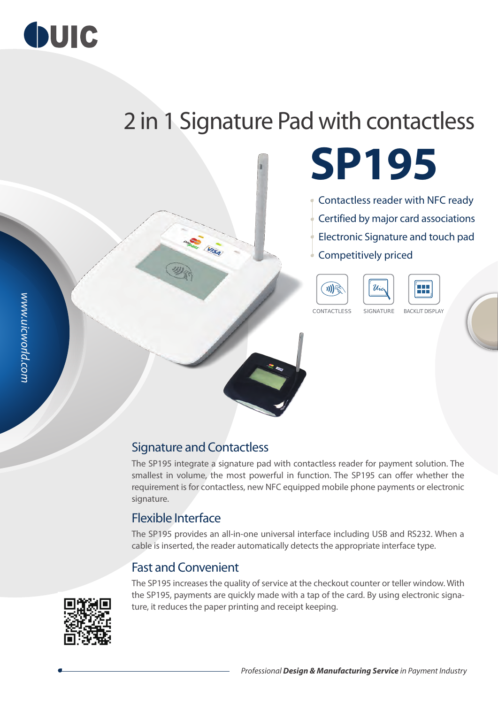

# 2 in 1 Signature Pad with contactless

**SP195**

Contactless reader with NFC ready Certified by major card associations Electronic Signature and touch pad Competitively priced





CONTACTLESS SIGNATURE BACKLIT DISPLAY





### Signature and Contactless

**ANGLIS (VISA)** 

The SP195 integrate a signature pad with contactless reader for payment solution. The smallest in volume, the most powerful in function. The SP195 can offer whether the requirement is for contactless, new NFC equipped mobile phone payments or electronic signature.

#### Flexible Interface

The SP195 provides an all-in-one universal interface including USB and RS232. When a cable is inserted, the reader automatically detects the appropriate interface type.

### Fast and Convenient

The SP195 increases the quality of service at the checkout counter or teller window. With the SP195, payments are quickly made with a tap of the card. By using electronic signature, it reduces the paper printing and receipt keeping.